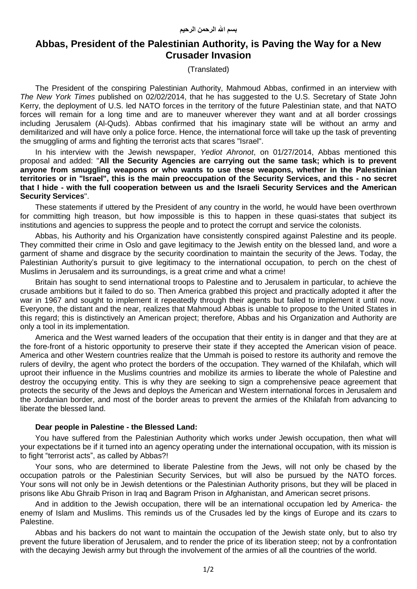## **Abbas, President of the Palestinian Authority, is Paving the Way for a New Crusader Invasion**

(Translated)

The President of the conspiring Palestinian Authority, Mahmoud Abbas, confirmed in an interview with *The New York Times* published on 02/02/2014, that he has suggested to the U.S. Secretary of State John Kerry, the deployment of U.S. led NATO forces in the territory of the future Palestinian state, and that NATO forces will remain for a long time and are to maneuver wherever they want and at all border crossings including Jerusalem (Al-Quds). Abbas confirmed that his imaginary state will be without an army and demilitarized and will have only a police force. Hence, the international force will take up the task of preventing the smuggling of arms and fighting the terrorist acts that scares "Israel".

In his interview with the Jewish newspaper, *Yediot Ahronot*, on 01/27/2014, Abbas mentioned this proposal and added: "**All the Security Agencies are carrying out the same task; which is to prevent anyone from smuggling weapons or who wants to use these weapons, whether in the Palestinian territories or in "Israel", this is the main preoccupation of the Security Services, and this - no secret that I hide - with the full cooperation between us and the Israeli Security Services and the American Security Services**".

These statements if uttered by the President of any country in the world, he would have been overthrown for committing high treason, but how impossible is this to happen in these quasi-states that subject its institutions and agencies to suppress the people and to protect the corrupt and service the colonists.

Abbas, his Authority and his Organization have consistently conspired against Palestine and its people. They committed their crime in Oslo and gave legitimacy to the Jewish entity on the blessed land, and wore a garment of shame and disgrace by the security coordination to maintain the security of the Jews. Today, the Palestinian Authority's pursuit to give legitimacy to the international occupation, to perch on the chest of Muslims in Jerusalem and its surroundings, is a great crime and what a crime!

Britain has sought to send international troops to Palestine and to Jerusalem in particular, to achieve the crusade ambitions but it failed to do so. Then America grabbed this project and practically adopted it after the war in 1967 and sought to implement it repeatedly through their agents but failed to implement it until now. Everyone, the distant and the near, realizes that Mahmoud Abbas is unable to propose to the United States in this regard; this is distinctively an American project; therefore, Abbas and his Organization and Authority are only a tool in its implementation.

America and the West warned leaders of the occupation that their entity is in danger and that they are at the fore-front of a historic opportunity to preserve their state if they accepted the American vision of peace. America and other Western countries realize that the Ummah is poised to restore its authority and remove the rulers of devilry, the agent who protect the borders of the occupation. They warned of the Khilafah, which will uproot their influence in the Muslims countries and mobilize its armies to liberate the whole of Palestine and destroy the occupying entity. This is why they are seeking to sign a comprehensive peace agreement that protects the security of the Jews and deploys the American and Western international forces in Jerusalem and the Jordanian border, and most of the border areas to prevent the armies of the Khilafah from advancing to liberate the blessed land.

## **Dear people in Palestine - the Blessed Land:**

You have suffered from the Palestinian Authority which works under Jewish occupation, then what will your expectations be if it turned into an agency operating under the international occupation, with its mission is to fight "terrorist acts", as called by Abbas?!

Your sons, who are determined to liberate Palestine from the Jews, will not only be chased by the occupation patrols or the Palestinian Security Services, but will also be pursued by the NATO forces. Your sons will not only be in Jewish detentions or the Palestinian Authority prisons, but they will be placed in prisons like Abu Ghraib Prison in Iraq and Bagram Prison in Afghanistan, and American secret prisons.

And in addition to the Jewish occupation, there will be an international occupation led by America- the enemy of Islam and Muslims. This reminds us of the Crusades led by the kings of Europe and its czars to Palestine.

Abbas and his backers do not want to maintain the occupation of the Jewish state only, but to also try prevent the future liberation of Jerusalem, and to render the price of its liberation steep; not by a confrontation with the decaying Jewish army but through the involvement of the armies of all the countries of the world.